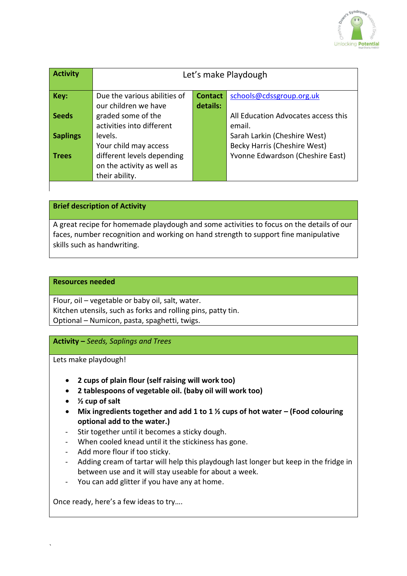

| <b>Activity</b> | Let's make Playdough         |                |                                     |
|-----------------|------------------------------|----------------|-------------------------------------|
| Key:            | Due the various abilities of | <b>Contact</b> | schools@cdssgroup.org.uk            |
|                 | our children we have         | details:       |                                     |
| <b>Seeds</b>    | graded some of the           |                | All Education Advocates access this |
|                 | activities into different    |                | email.                              |
| <b>Saplings</b> | levels.                      |                | Sarah Larkin (Cheshire West)        |
|                 | Your child may access        |                | Becky Harris (Cheshire West)        |
| <b>Trees</b>    | different levels depending   |                | Yvonne Edwardson (Cheshire East)    |
|                 | on the activity as well as   |                |                                     |
|                 | their ability.               |                |                                     |

**Brief description of Activity**

A great recipe for homemade playdough and some activities to focus on the details of our faces, number recognition and working on hand strength to support fine manipulative skills such as handwriting.

## **Resources needed**

Flour, oil – vegetable or baby oil, salt, water. Kitchen utensils, such as forks and rolling pins, patty tin. Optional – Numicon, pasta, spaghetti, twigs.

**Activity –** *Seeds, Saplings and Trees*

Lets make playdough!

- **2 cups of plain flour (self raising will work too)**
- **2 tablespoons of vegetable oil. (baby oil will work too)**
- **½ cup of salt**
- Mix ingredients together and add 1 to 1  $\frac{1}{2}$  cups of hot water (Food colouring **optional add to the water.)**
- Stir together until it becomes a sticky dough.
- When cooled knead until it the stickiness has gone.
- Add more flour if too sticky.
- Adding cream of tartar will help this playdough last longer but keep in the fridge in between use and it will stay useable for about a week.
- You can add glitter if you have any at home.

Once ready, here's a few ideas to try….